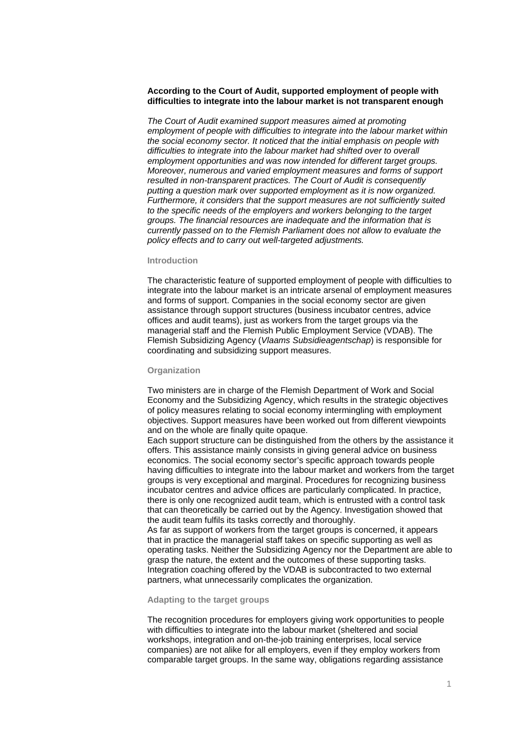### **According to the Court of Audit, supported employment of people with difficulties to integrate into the labour market is not transparent enough**

*The Court of Audit examined support measures aimed at promoting employment of people with difficulties to integrate into the labour market within the social economy sector. It noticed that the initial emphasis on people with difficulties to integrate into the labour market had shifted over to overall employment opportunities and was now intended for different target groups. Moreover, numerous and varied employment measures and forms of support resulted in non-transparent practices. The Court of Audit is consequently putting a question mark over supported employment as it is now organized. Furthermore, it considers that the support measures are not sufficiently suited to the specific needs of the employers and workers belonging to the target groups. The financial resources are inadequate and the information that is currently passed on to the Flemish Parliament does not allow to evaluate the policy effects and to carry out well-targeted adjustments.* 

# **Introduction**

The characteristic feature of supported employment of people with difficulties to integrate into the labour market is an intricate arsenal of employment measures and forms of support. Companies in the social economy sector are given assistance through support structures (business incubator centres, advice offices and audit teams), just as workers from the target groups via the managerial staff and the Flemish Public Employment Service (VDAB). The Flemish Subsidizing Agency (*Vlaams Subsidieagentschap*) is responsible for coordinating and subsidizing support measures.

### **Organization**

Two ministers are in charge of the Flemish Department of Work and Social Economy and the Subsidizing Agency, which results in the strategic objectives of policy measures relating to social economy intermingling with employment objectives. Support measures have been worked out from different viewpoints and on the whole are finally quite opaque.

Each support structure can be distinguished from the others by the assistance it offers. This assistance mainly consists in giving general advice on business economics. The social economy sector's specific approach towards people having difficulties to integrate into the labour market and workers from the target groups is very exceptional and marginal. Procedures for recognizing business incubator centres and advice offices are particularly complicated. In practice, there is only one recognized audit team, which is entrusted with a control task that can theoretically be carried out by the Agency. Investigation showed that the audit team fulfils its tasks correctly and thoroughly.

As far as support of workers from the target groups is concerned, it appears that in practice the managerial staff takes on specific supporting as well as operating tasks. Neither the Subsidizing Agency nor the Department are able to grasp the nature, the extent and the outcomes of these supporting tasks. Integration coaching offered by the VDAB is subcontracted to two external partners, what unnecessarily complicates the organization.

#### **Adapting to the target groups**

The recognition procedures for employers giving work opportunities to people with difficulties to integrate into the labour market (sheltered and social workshops, integration and on-the-job training enterprises, local service companies) are not alike for all employers, even if they employ workers from comparable target groups. In the same way, obligations regarding assistance